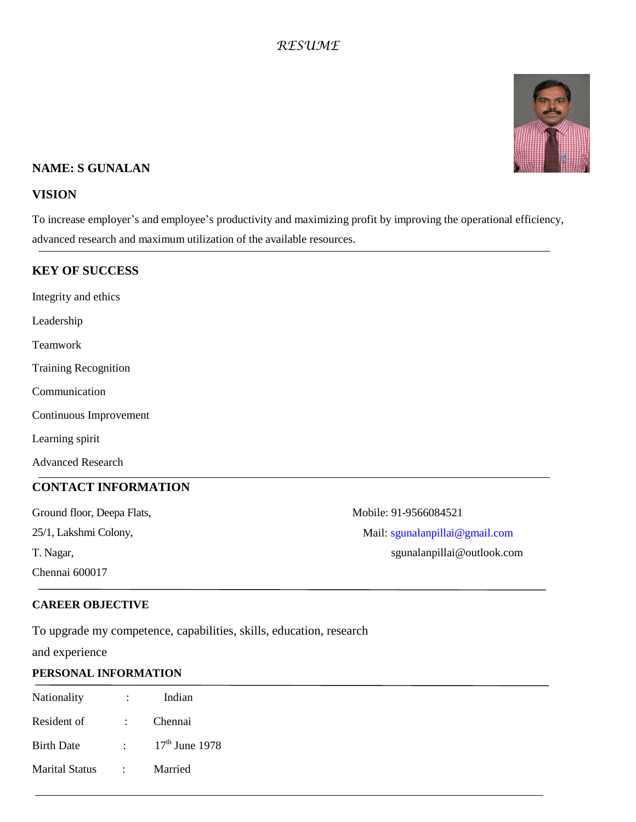# *RESUME*



### **NAME: S GUNALAN**

#### **VISION**

To increase employer's and employee's productivity and maximizing profit by improving the operational efficiency, advanced research and maximum utilization of the available resources.

#### **KEY OF SUCCESS**

Integrity and ethics

Leadership

Teamwork

Training Recognition

Communication

Continuous Improvement

Learning spirit

Advanced Research

#### **CONTACT INFORMATION**

Ground floor, Deepa Flats, Mobile: 91-9566084521

Chennai 600017

25/1, Lakshmi Colony, and a state of the Mail: [sgunalanpillai@gmail.com](mailto:sgunalanpillai@gmail.com)

T. Nagar, sgunalanpillai@outlook.com

#### **CAREER OBJECTIVE**

To upgrade my competence, capabilities, skills, education, research

and experience

#### **PERSONAL INFORMATION**

| Nationality                 | $\sim 1000$ km s $^{-1}$ | Indian  |
|-----------------------------|--------------------------|---------|
| Resident of :               |                          | Chennai |
| Birth Date $17th$ June 1978 |                          |         |
| Marital Status :            |                          | Married |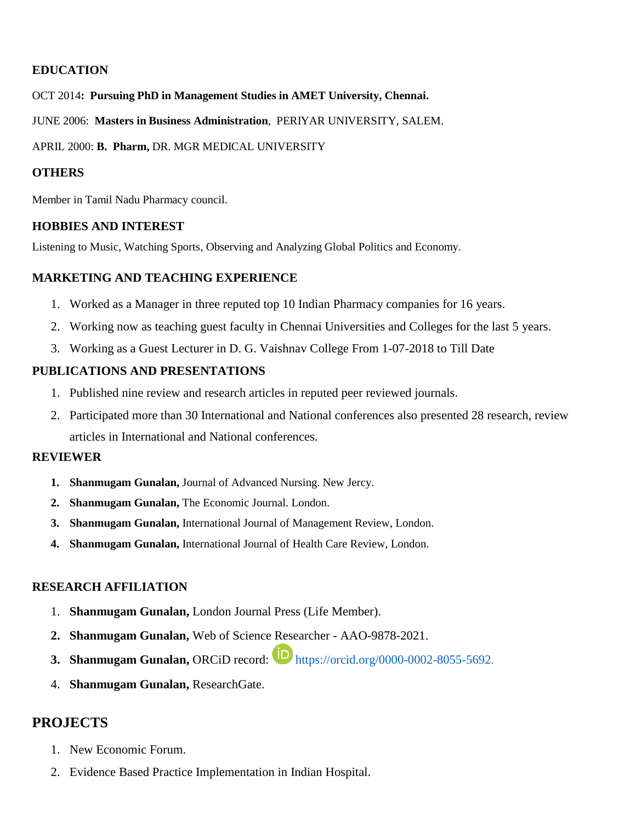## **EDUCATION**

OCT 2014**: Pursuing PhD in Management Studies in AMET University, Chennai.** 

JUNE 2006: **Masters in Business Administration**, PERIYAR UNIVERSITY, SALEM.

APRIL 2000: **B. Pharm,** DR. MGR MEDICAL UNIVERSITY

## **OTHERS**

Member in Tamil Nadu Pharmacy council.

## **HOBBIES AND INTEREST**

Listening to Music, Watching Sports, Observing and Analyzing Global Politics and Economy.

## **MARKETING AND TEACHING EXPERIENCE**

- 1. Worked as a Manager in three reputed top 10 Indian Pharmacy companies for 16 years.
- 2. Working now as teaching guest faculty in Chennai Universities and Colleges for the last 5 years.
- 3. Working as a Guest Lecturer in D. G. Vaishnav College From 1-07-2018 to Till Date

## **PUBLICATIONS AND PRESENTATIONS**

- 1. Published nine review and research articles in reputed peer reviewed journals.
- 2. Participated more than 30 International and National conferences also presented 28 research, review articles in International and National conferences.

## **REVIEWER**

- **1. Shanmugam Gunalan,** Journal of Advanced Nursing. New Jercy.
- **2. Shanmugam Gunalan,** The Economic Journal. London.
- **3. Shanmugam Gunalan,** International Journal of Management Review, London.
- **4. Shanmugam Gunalan,** International Journal of Health Care Review, London.

## **RESEARCH AFFILIATION**

- 1. **Shanmugam Gunalan,** London Journal Press (Life Member).
- **2. Shanmugam Gunalan,** Web of Science Researcher [AAO-9878-2021.](https://publons.com/researcher/AAO-9878-2021/)
- **3. Shanmugam Gunalan, ORCiD record:**  $\bullet$  [https://orcid.org/0000-0002-8055-5692.](https://orcid.org/0000-0002-8055-5692)
- 4. **Shanmugam Gunalan,** ResearchGate.

# **PROJECTS**

- 1. New Economic Forum.
- 2. Evidence Based Practice Implementation in Indian Hospital.